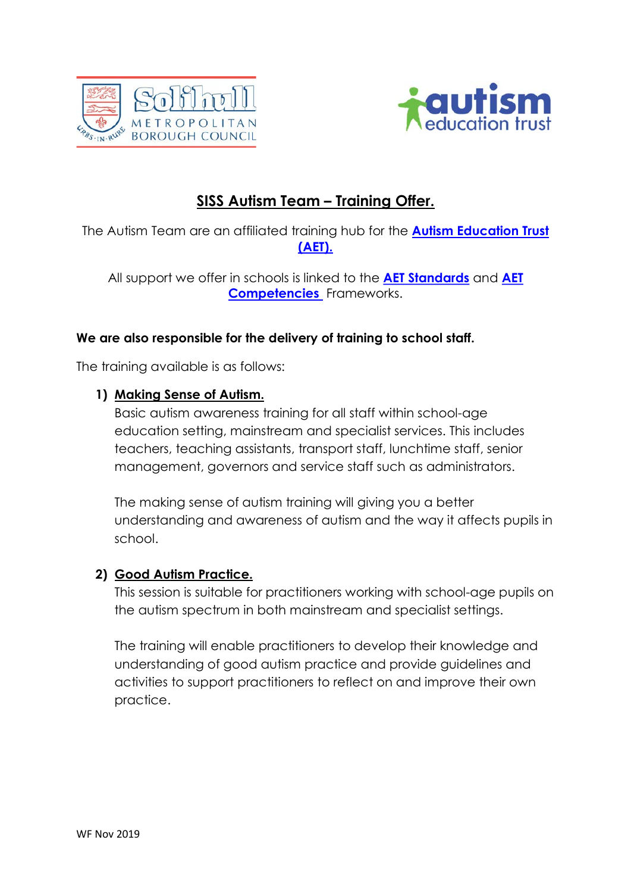



# SISS Autism Team – Training Offer.

The Autism Team are an affiliated training hub for the **Autism Education Trust** (AET).

All support we offer in schools is linked to the **AET Standards** and **AET** Competencies Frameworks.

### We are also responsible for the delivery of training to school staff.

The training available is as follows:

### 1) Making Sense of Autism.

Basic autism awareness training for all staff within school-age education setting, mainstream and specialist services. This includes teachers, teaching assistants, transport staff, lunchtime staff, senior management, governors and service staff such as administrators.

The making sense of autism training will giving you a better understanding and awareness of autism and the way it affects pupils in school.

### 2) Good Autism Practice.

This session is suitable for practitioners working with school-age pupils on the autism spectrum in both mainstream and specialist settings.

The training will enable practitioners to develop their knowledge and understanding of good autism practice and provide guidelines and activities to support practitioners to reflect on and improve their own practice.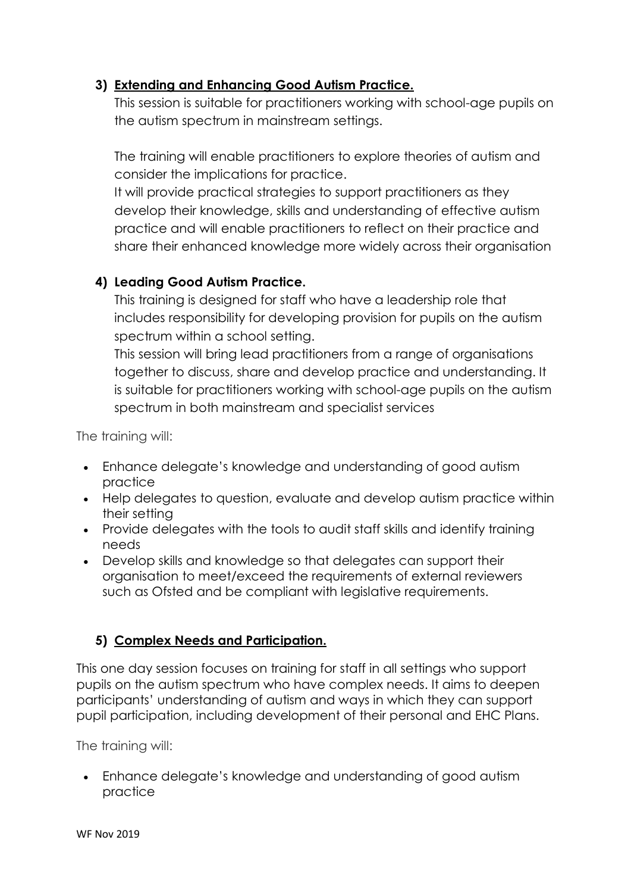## 3) Extending and Enhancing Good Autism Practice.

This session is suitable for practitioners working with school-age pupils on the autism spectrum in mainstream settings.

The training will enable practitioners to explore theories of autism and consider the implications for practice.

It will provide practical strategies to support practitioners as they develop their knowledge, skills and understanding of effective autism practice and will enable practitioners to reflect on their practice and share their enhanced knowledge more widely across their organisation

## 4) Leading Good Autism Practice.

This training is designed for staff who have a leadership role that includes responsibility for developing provision for pupils on the autism spectrum within a school setting.

This session will bring lead practitioners from a range of organisations together to discuss, share and develop practice and understanding. It is suitable for practitioners working with school-age pupils on the autism spectrum in both mainstream and specialist services

The training will:

- Enhance delegate's knowledge and understanding of good autism practice
- Help delegates to question, evaluate and develop autism practice within their setting
- Provide delegates with the tools to audit staff skills and identify training needs
- Develop skills and knowledge so that delegates can support their organisation to meet/exceed the requirements of external reviewers such as Ofsted and be compliant with legislative requirements.

## 5) Complex Needs and Participation.

This one day session focuses on training for staff in all settings who support pupils on the autism spectrum who have complex needs. It aims to deepen participants' understanding of autism and ways in which they can support pupil participation, including development of their personal and EHC Plans.

The training will:

 Enhance delegate's knowledge and understanding of good autism practice